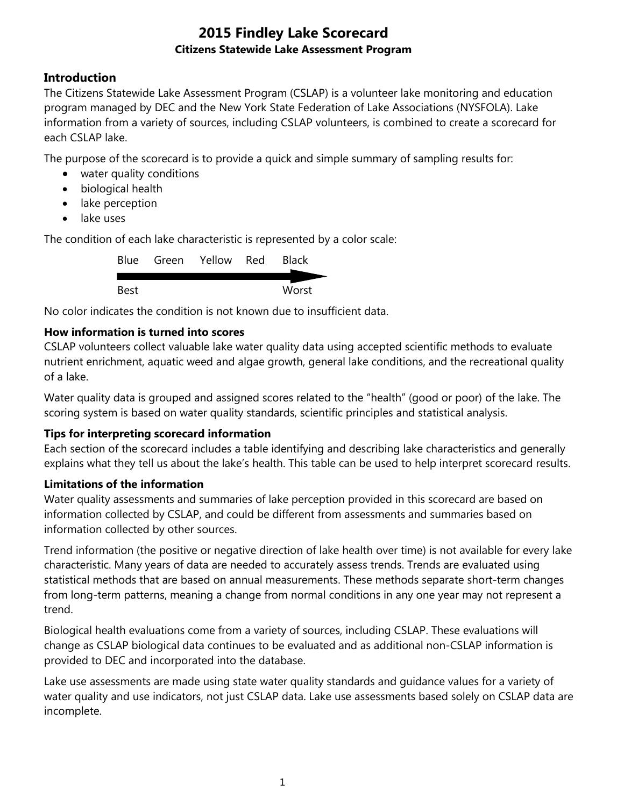## **Introduction**

The Citizens Statewide Lake Assessment Program (CSLAP) is a volunteer lake monitoring and education program managed by DEC and the New York State Federation of Lake Associations (NYSFOLA). Lake information from a variety of sources, including CSLAP volunteers, is combined to create a scorecard for each CSLAP lake.

The purpose of the scorecard is to provide a quick and simple summary of sampling results for:

- water quality conditions
- biological health
- lake perception
- lake uses

The condition of each lake characteristic is represented by a color scale:

|      | Blue Green Yellow Red | <b>Black</b> |
|------|-----------------------|--------------|
|      |                       |              |
| Best |                       | Worst        |

No color indicates the condition is not known due to insufficient data.

## **How information is turned into scores**

CSLAP volunteers collect valuable lake water quality data using accepted scientific methods to evaluate nutrient enrichment, aquatic weed and algae growth, general lake conditions, and the recreational quality of a lake.

Water quality data is grouped and assigned scores related to the "health" (good or poor) of the lake. The scoring system is based on water quality standards, scientific principles and statistical analysis.

#### **Tips for interpreting scorecard information**

Each section of the scorecard includes a table identifying and describing lake characteristics and generally explains what they tell us about the lake's health. This table can be used to help interpret scorecard results.

#### **Limitations of the information**

Water quality assessments and summaries of lake perception provided in this scorecard are based on information collected by CSLAP, and could be different from assessments and summaries based on information collected by other sources.

Trend information (the positive or negative direction of lake health over time) is not available for every lake characteristic. Many years of data are needed to accurately assess trends. Trends are evaluated using statistical methods that are based on annual measurements. These methods separate short-term changes from long-term patterns, meaning a change from normal conditions in any one year may not represent a trend.

Biological health evaluations come from a variety of sources, including CSLAP. These evaluations will change as CSLAP biological data continues to be evaluated and as additional non-CSLAP information is provided to DEC and incorporated into the database.

Lake use assessments are made using state water quality standards and guidance values for a variety of water quality and use indicators, not just CSLAP data. Lake use assessments based solely on CSLAP data are incomplete.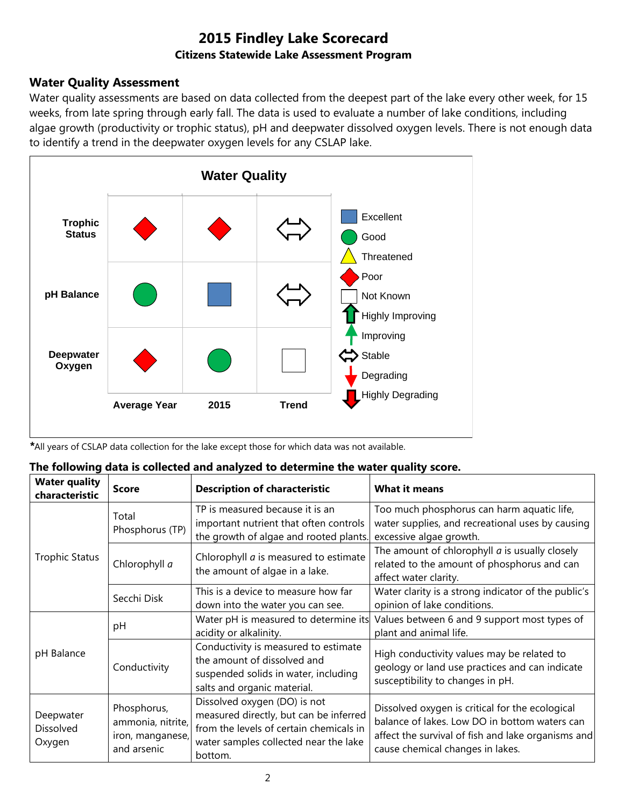## **Water Quality Assessment**

Water quality assessments are based on data collected from the deepest part of the lake every other week, for 15 weeks, from late spring through early fall. The data is used to evaluate a number of lake conditions, including algae growth (productivity or trophic status), pH and deepwater dissolved oxygen levels. There is not enough data to identify a trend in the deepwater oxygen levels for any CSLAP lake.



*\**All years of CSLAP data collection for the lake except those for which data was not available.

|  |  |  |  | The following data is collected and analyzed to determine the water quality score. |
|--|--|--|--|------------------------------------------------------------------------------------|
|--|--|--|--|------------------------------------------------------------------------------------|

| <b>Water quality</b><br>characteristic | <b>Score</b>                                                        | <b>Description of characteristic</b>                                                                                                                                  | <b>What it means</b>                                                                                                                                                                       |
|----------------------------------------|---------------------------------------------------------------------|-----------------------------------------------------------------------------------------------------------------------------------------------------------------------|--------------------------------------------------------------------------------------------------------------------------------------------------------------------------------------------|
|                                        | Total<br>Phosphorus (TP)                                            | TP is measured because it is an<br>important nutrient that often controls<br>the growth of algae and rooted plants.                                                   | Too much phosphorus can harm aquatic life,<br>water supplies, and recreational uses by causing<br>excessive algae growth.                                                                  |
| <b>Trophic Status</b>                  | Chlorophyll a                                                       | Chlorophyll <i>a</i> is measured to estimate<br>the amount of algae in a lake.                                                                                        | The amount of chlorophyll $a$ is usually closely<br>related to the amount of phosphorus and can<br>affect water clarity.                                                                   |
|                                        | Secchi Disk                                                         | This is a device to measure how far<br>down into the water you can see.                                                                                               | Water clarity is a strong indicator of the public's<br>opinion of lake conditions.                                                                                                         |
|                                        | рH                                                                  | Water pH is measured to determine its<br>acidity or alkalinity.                                                                                                       | Values between 6 and 9 support most types of<br>plant and animal life.                                                                                                                     |
| pH Balance                             | Conductivity                                                        | Conductivity is measured to estimate<br>the amount of dissolved and<br>suspended solids in water, including<br>salts and organic material.                            | High conductivity values may be related to<br>geology or land use practices and can indicate<br>susceptibility to changes in pH.                                                           |
| Deepwater<br>Dissolved<br>Oxygen       | Phosphorus,<br>ammonia, nitrite,<br>iron, manganese,<br>and arsenic | Dissolved oxygen (DO) is not<br>measured directly, but can be inferred<br>from the levels of certain chemicals in<br>water samples collected near the lake<br>bottom. | Dissolved oxygen is critical for the ecological<br>balance of lakes. Low DO in bottom waters can<br>affect the survival of fish and lake organisms and<br>cause chemical changes in lakes. |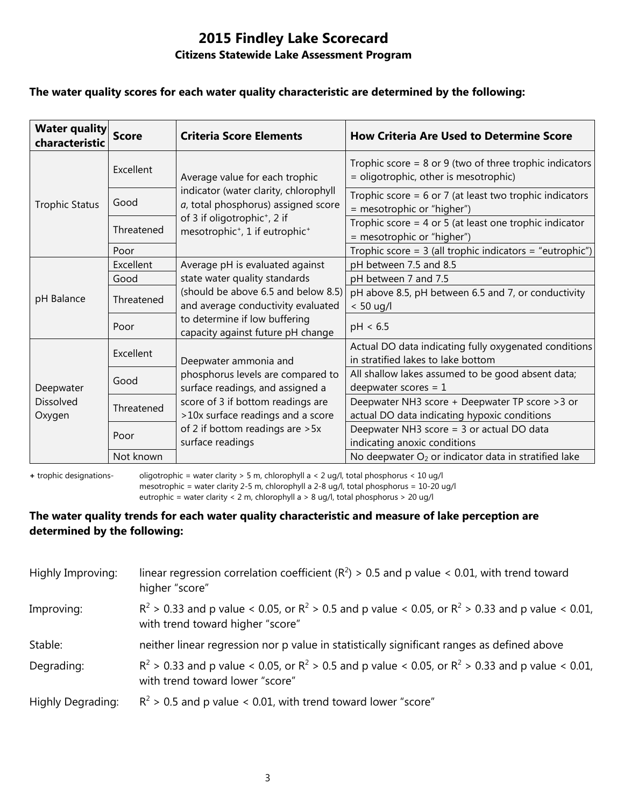### **The water quality scores for each water quality characteristic are determined by the following:**

| <b>Water quality</b><br>characteristic  | <b>Score</b> | <b>Criteria Score Elements</b>                                                                     | <b>How Criteria Are Used to Determine Score</b>                                                      |
|-----------------------------------------|--------------|----------------------------------------------------------------------------------------------------|------------------------------------------------------------------------------------------------------|
|                                         | Excellent    | Average value for each trophic                                                                     | Trophic score = $8$ or $9$ (two of three trophic indicators<br>= oligotrophic, other is mesotrophic) |
| <b>Trophic Status</b>                   | Good         | indicator (water clarity, chlorophyll<br>a, total phosphorus) assigned score                       | Trophic score = $6$ or 7 (at least two trophic indicators<br>= mesotrophic or "higher")              |
|                                         | Threatened   | of 3 if oligotrophic <sup>+</sup> , 2 if<br>mesotrophic <sup>+</sup> , 1 if eutrophic <sup>+</sup> | Trophic score = $4$ or $5$ (at least one trophic indicator<br>= mesotrophic or "higher")             |
|                                         | Poor         |                                                                                                    | Trophic score = $3$ (all trophic indicators = "eutrophic")                                           |
| pH Balance                              | Excellent    | Average pH is evaluated against                                                                    | pH between 7.5 and 8.5                                                                               |
|                                         | Good         | state water quality standards                                                                      | pH between 7 and 7.5                                                                                 |
|                                         | Threatened   | (should be above 6.5 and below 8.5)<br>and average conductivity evaluated                          | pH above 8.5, pH between 6.5 and 7, or conductivity<br>$< 50$ ug/l                                   |
|                                         | Poor         | to determine if low buffering<br>capacity against future pH change                                 | pH < 6.5                                                                                             |
|                                         | Excellent    | Deepwater ammonia and                                                                              | Actual DO data indicating fully oxygenated conditions<br>in stratified lakes to lake bottom          |
| Deepwater<br><b>Dissolved</b><br>Oxygen | Good         | phosphorus levels are compared to<br>surface readings, and assigned a                              | All shallow lakes assumed to be good absent data;<br>deepwater scores = $1$                          |
|                                         | Threatened   | score of 3 if bottom readings are<br>>10x surface readings and a score                             | Deepwater NH3 score + Deepwater TP score > 3 or<br>actual DO data indicating hypoxic conditions      |
|                                         | Poor         | of 2 if bottom readings are > 5x<br>surface readings                                               | Deepwater NH3 score = 3 or actual DO data<br>indicating anoxic conditions                            |
|                                         | Not known    |                                                                                                    | No deepwater O <sub>2</sub> or indicator data in stratified lake                                     |

**+** trophic designations- oligotrophic = water clarity > 5 m, chlorophyll a < 2 ug/l, total phosphorus < 10 ug/l mesotrophic = water clarity 2-5 m, chlorophyll a 2-8 ug/l, total phosphorus = 10-20 ug/l

eutrophic = water clarity < 2 m, chlorophyll a > 8 ug/l, total phosphorus > 20 ug/l

#### **The water quality trends for each water quality characteristic and measure of lake perception are determined by the following:**

| Highly Improving: | linear regression correlation coefficient ( $R^2$ ) > 0.5 and p value < 0.01, with trend toward<br>higher "score"                           |
|-------------------|---------------------------------------------------------------------------------------------------------------------------------------------|
| Improving:        | $R^2 > 0.33$ and p value < 0.05, or $R^2 > 0.5$ and p value < 0.05, or $R^2 > 0.33$ and p value < 0.01,<br>with trend toward higher "score" |
| Stable:           | neither linear regression nor p value in statistically significant ranges as defined above                                                  |
| Degrading:        | $R^2 > 0.33$ and p value < 0.05, or $R^2 > 0.5$ and p value < 0.05, or $R^2 > 0.33$ and p value < 0.01,<br>with trend toward lower "score"  |
| Highly Degrading: | $R^2$ > 0.5 and p value < 0.01, with trend toward lower "score"                                                                             |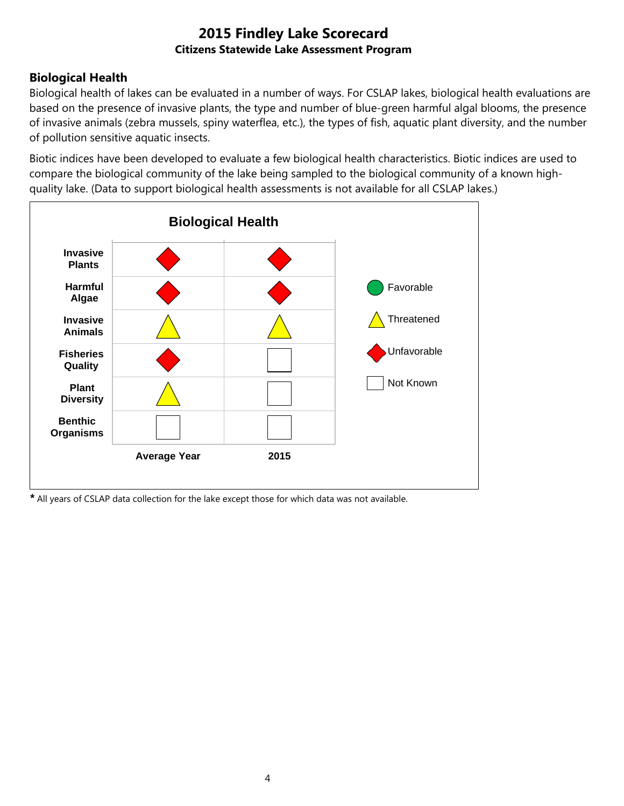## **Biological Health**

Biological health of lakes can be evaluated in a number of ways. For CSLAP lakes, biological health evaluations are based on the presence of invasive plants, the type and number of blue-green harmful algal blooms, the presence of invasive animals (zebra mussels, spiny waterflea, etc.), the types of fish, aquatic plant diversity, and the number of pollution sensitive aquatic insects.

Biotic indices have been developed to evaluate a few biological health characteristics. Biotic indices are used to compare the biological community of the lake being sampled to the biological community of a known highquality lake. (Data to support biological health assessments is not available for all CSLAP lakes.)



*\** All years of CSLAP data collection for the lake except those for which data was not available.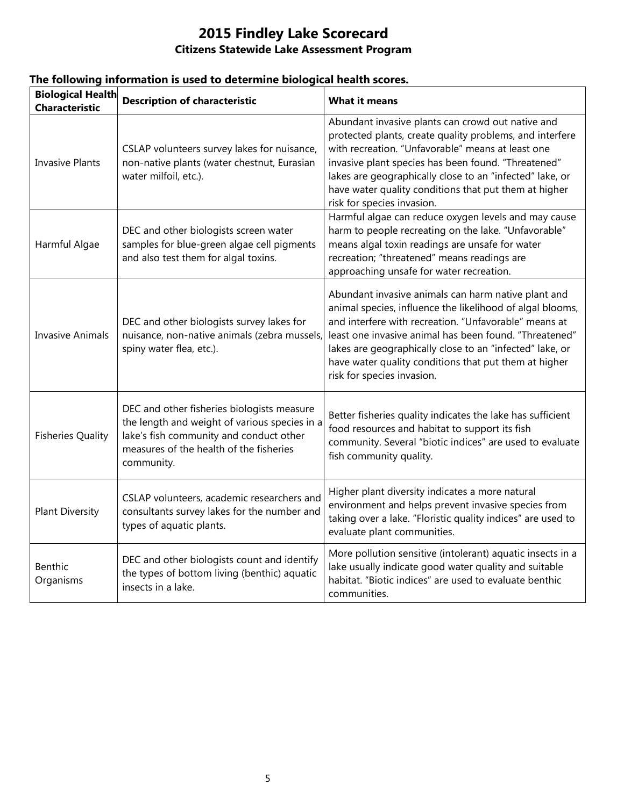| <b>Biological Health</b><br><b>Characteristic</b> | <b>Description of characteristic</b>                                                                                                                                                            | <b>What it means</b>                                                                                                                                                                                                                                                                                                                                                                   |
|---------------------------------------------------|-------------------------------------------------------------------------------------------------------------------------------------------------------------------------------------------------|----------------------------------------------------------------------------------------------------------------------------------------------------------------------------------------------------------------------------------------------------------------------------------------------------------------------------------------------------------------------------------------|
| <b>Invasive Plants</b>                            | CSLAP volunteers survey lakes for nuisance,<br>non-native plants (water chestnut, Eurasian<br>water milfoil, etc.).                                                                             | Abundant invasive plants can crowd out native and<br>protected plants, create quality problems, and interfere<br>with recreation. "Unfavorable" means at least one<br>invasive plant species has been found. "Threatened"<br>lakes are geographically close to an "infected" lake, or<br>have water quality conditions that put them at higher<br>risk for species invasion.           |
| Harmful Algae                                     | DEC and other biologists screen water<br>samples for blue-green algae cell pigments<br>and also test them for algal toxins.                                                                     | Harmful algae can reduce oxygen levels and may cause<br>harm to people recreating on the lake. "Unfavorable"<br>means algal toxin readings are unsafe for water<br>recreation; "threatened" means readings are<br>approaching unsafe for water recreation.                                                                                                                             |
| <b>Invasive Animals</b>                           | DEC and other biologists survey lakes for<br>nuisance, non-native animals (zebra mussels,<br>spiny water flea, etc.).                                                                           | Abundant invasive animals can harm native plant and<br>animal species, influence the likelihood of algal blooms,<br>and interfere with recreation. "Unfavorable" means at<br>least one invasive animal has been found. "Threatened"<br>lakes are geographically close to an "infected" lake, or<br>have water quality conditions that put them at higher<br>risk for species invasion. |
| <b>Fisheries Quality</b>                          | DEC and other fisheries biologists measure<br>the length and weight of various species in a<br>lake's fish community and conduct other<br>measures of the health of the fisheries<br>community. | Better fisheries quality indicates the lake has sufficient<br>food resources and habitat to support its fish<br>community. Several "biotic indices" are used to evaluate<br>fish community quality.                                                                                                                                                                                    |
| <b>Plant Diversity</b>                            | CSLAP volunteers, academic researchers and<br>consultants survey lakes for the number and<br>types of aquatic plants.                                                                           | Higher plant diversity indicates a more natural<br>environment and helps prevent invasive species from<br>taking over a lake. "Floristic quality indices" are used to<br>evaluate plant communities.                                                                                                                                                                                   |
| Benthic<br>Organisms                              | DEC and other biologists count and identify<br>the types of bottom living (benthic) aquatic<br>insects in a lake.                                                                               | More pollution sensitive (intolerant) aquatic insects in a<br>lake usually indicate good water quality and suitable<br>habitat. "Biotic indices" are used to evaluate benthic<br>communities.                                                                                                                                                                                          |

## **The following information is used to determine biological health scores.**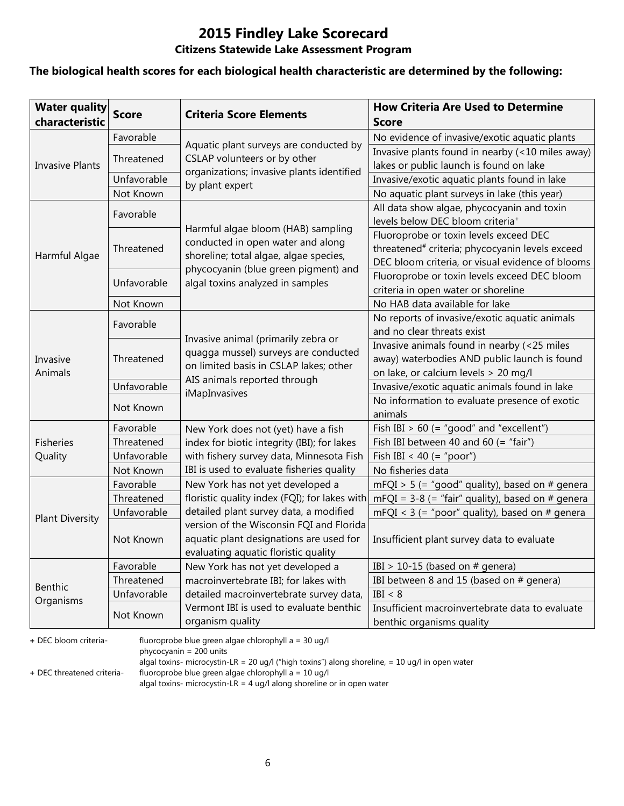# **2015 Findley Lake Scorecard**

## **Citizens Statewide Lake Assessment Program**

#### **The biological health scores for each biological health characteristic are determined by the following:**

| <b>Water quality</b><br>characteristic | <b>Score</b> | <b>Criteria Score Elements</b>                                         | <b>How Criteria Are Used to Determine</b><br><b>Score</b>                                        |
|----------------------------------------|--------------|------------------------------------------------------------------------|--------------------------------------------------------------------------------------------------|
|                                        | Favorable    |                                                                        | No evidence of invasive/exotic aquatic plants                                                    |
|                                        | Threatened   | Aquatic plant surveys are conducted by<br>CSLAP volunteers or by other | Invasive plants found in nearby (<10 miles away)                                                 |
| <b>Invasive Plants</b>                 |              | organizations; invasive plants identified                              | lakes or public launch is found on lake                                                          |
|                                        | Unfavorable  | by plant expert                                                        | Invasive/exotic aquatic plants found in lake                                                     |
|                                        | Not Known    |                                                                        | No aquatic plant surveys in lake (this year)                                                     |
|                                        | Favorable    |                                                                        | All data show algae, phycocyanin and toxin                                                       |
|                                        |              | Harmful algae bloom (HAB) sampling                                     | levels below DEC bloom criteria <sup>+</sup>                                                     |
|                                        |              | conducted in open water and along                                      | Fluoroprobe or toxin levels exceed DEC                                                           |
| Harmful Algae                          | Threatened   | shoreline; total algae, algae species,                                 | threatened <sup>#</sup> criteria; phycocyanin levels exceed                                      |
|                                        |              | phycocyanin (blue green pigment) and                                   | DEC bloom criteria, or visual evidence of blooms<br>Fluoroprobe or toxin levels exceed DEC bloom |
|                                        | Unfavorable  | algal toxins analyzed in samples                                       | criteria in open water or shoreline                                                              |
|                                        | Not Known    |                                                                        | No HAB data available for lake                                                                   |
|                                        |              |                                                                        | No reports of invasive/exotic aquatic animals                                                    |
|                                        | Favorable    |                                                                        | and no clear threats exist                                                                       |
|                                        | Threatened   | Invasive animal (primarily zebra or                                    | Invasive animals found in nearby (<25 miles                                                      |
| Invasive                               |              | quagga mussel) surveys are conducted                                   | away) waterbodies AND public launch is found                                                     |
| Animals                                |              | on limited basis in CSLAP lakes; other                                 | on lake, or calcium levels > 20 mg/l                                                             |
|                                        | Unfavorable  | AIS animals reported through                                           | Invasive/exotic aquatic animals found in lake                                                    |
|                                        |              | iMapInvasives                                                          | No information to evaluate presence of exotic                                                    |
|                                        | Not Known    |                                                                        | animals                                                                                          |
|                                        | Favorable    | New York does not (yet) have a fish                                    | Fish IBI $> 60$ (= "good" and "excellent")                                                       |
| <b>Fisheries</b>                       | Threatened   | index for biotic integrity (IBI); for lakes                            | Fish IBI between 40 and 60 (= "fair")                                                            |
| Quality                                | Unfavorable  | with fishery survey data, Minnesota Fish                               | Fish IBI < 40 (= "poor")                                                                         |
|                                        | Not Known    | IBI is used to evaluate fisheries quality                              | No fisheries data                                                                                |
|                                        | Favorable    | New York has not yet developed a                                       | $mFQI > 5$ (= "good" quality), based on # genera                                                 |
|                                        | Threatened   | floristic quality index (FQI); for lakes with                          | mFQI = $3-8$ (= "fair" quality), based on # genera                                               |
| <b>Plant Diversity</b>                 | Unfavorable  | detailed plant survey data, a modified                                 | mFQI < $3$ (= "poor" quality), based on # genera                                                 |
|                                        |              | version of the Wisconsin FQI and Florida                               |                                                                                                  |
|                                        | Not Known    | aquatic plant designations are used for                                | Insufficient plant survey data to evaluate                                                       |
|                                        |              | evaluating aquatic floristic quality                                   |                                                                                                  |
|                                        | Favorable    | New York has not yet developed a                                       | IBI > 10-15 (based on $#$ genera)                                                                |
| Benthic                                | Threatened   | macroinvertebrate IBI; for lakes with                                  | IBI between 8 and 15 (based on # genera)                                                         |
| Organisms                              | Unfavorable  | detailed macroinvertebrate survey data,                                | IBI < 8                                                                                          |
|                                        | Not Known    | Vermont IBI is used to evaluate benthic                                | Insufficient macroinvertebrate data to evaluate                                                  |
|                                        |              | organism quality                                                       | benthic organisms quality                                                                        |

**+** DEC bloom criteria- fluoroprobe blue green algae chlorophyll a = 30 ug/l

phycocyanin = 200 units

algal toxins- microcystin-LR = 20 ug/l ("high toxins") along shoreline, = 10 ug/l in open water

**+** DEC threatened criteria- fluoroprobe blue green algae chlorophyll a = 10 ug/l

algal toxins- microcystin-LR = 4 ug/l along shoreline or in open water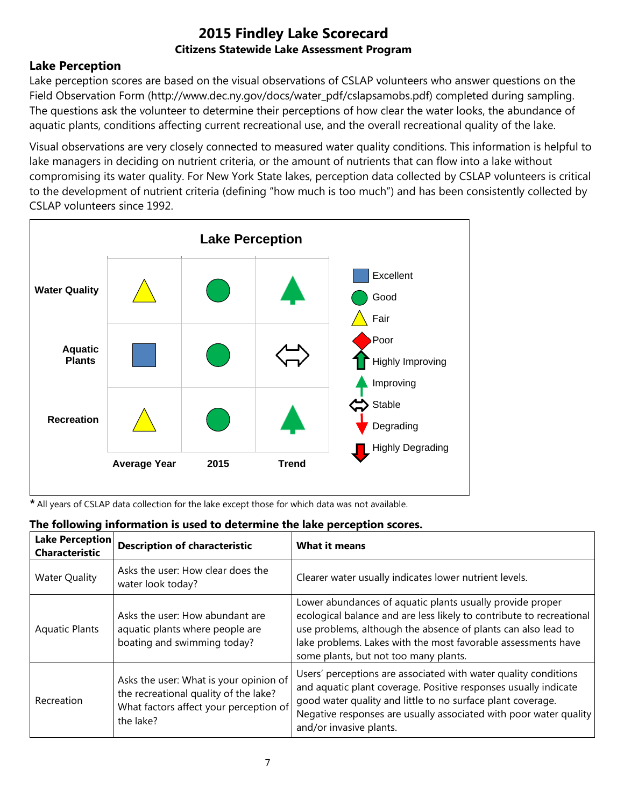## **Lake Perception**

Lake perception scores are based on the visual observations of CSLAP volunteers who answer questions on the Field Observation Form (http://www.dec.ny.gov/docs/water\_pdf/cslapsamobs.pdf) completed during sampling. The questions ask the volunteer to determine their perceptions of how clear the water looks, the abundance of aquatic plants, conditions affecting current recreational use, and the overall recreational quality of the lake.

Visual observations are very closely connected to measured water quality conditions. This information is helpful to lake managers in deciding on nutrient criteria, or the amount of nutrients that can flow into a lake without compromising its water quality. For New York State lakes, perception data collected by CSLAP volunteers is critical to the development of nutrient criteria (defining "how much is too much") and has been consistently collected by CSLAP volunteers since 1992.



*\** All years of CSLAP data collection for the lake except those for which data was not available.

| Lake Perception<br><b>Characteristic</b> | <b>Description of characteristic</b>                               | What it means                                                                                                                                                                                      |  |
|------------------------------------------|--------------------------------------------------------------------|----------------------------------------------------------------------------------------------------------------------------------------------------------------------------------------------------|--|
| <b>Water Quality</b>                     | Asks the user: How clear does the<br>water look today?             | Clearer water usually indicates lower nutrient levels.                                                                                                                                             |  |
| Aquatic Plants                           | Asks the user: How abundant are<br>aquatic plants where people are | Lower abundances of aquatic plants usually provide proper<br>ecological balance and are less likely to contribute to recreational<br>use problems, although the absence of plants can also lead to |  |

#### **The following information is used to determine the lake perception scores.**

| <b>Aquatic Plants</b> | aquatic plants where people are<br>boating and swimming today?                                                                         | use problems, although the absence of plants can also lead to<br>lake problems. Lakes with the most favorable assessments have<br>some plants, but not too many plants.                                                                                                                           |
|-----------------------|----------------------------------------------------------------------------------------------------------------------------------------|---------------------------------------------------------------------------------------------------------------------------------------------------------------------------------------------------------------------------------------------------------------------------------------------------|
| Recreation            | Asks the user: What is your opinion of<br>the recreational quality of the lake?<br>What factors affect your perception of<br>the lake? | Users' perceptions are associated with water quality conditions<br>and aquatic plant coverage. Positive responses usually indicate<br>good water quality and little to no surface plant coverage.<br>Negative responses are usually associated with poor water quality<br>and/or invasive plants. |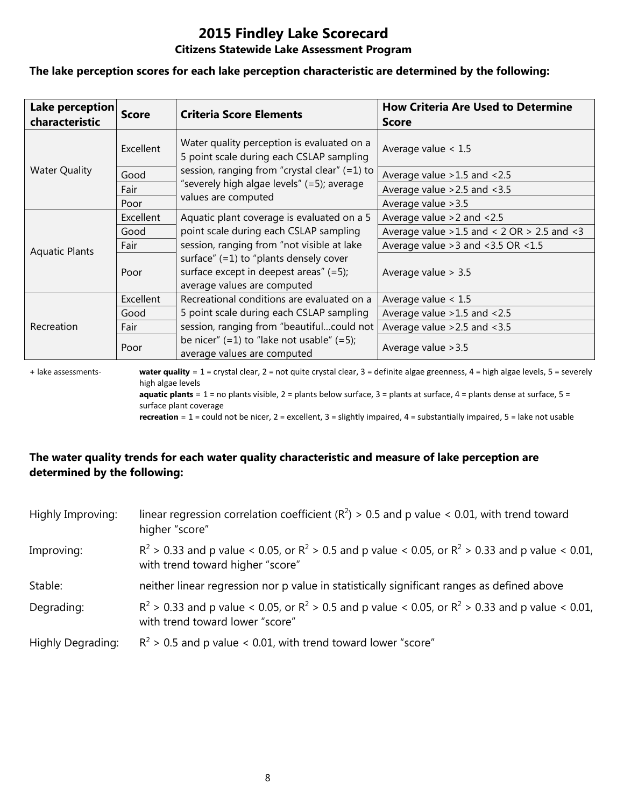# **2015 Findley Lake Scorecard**

#### **Citizens Statewide Lake Assessment Program**

#### **The lake perception scores for each lake perception characteristic are determined by the following:**

| Lake perception<br>characteristic | <b>Score</b> | <b>Criteria Score Elements</b>                                                                                       | <b>How Criteria Are Used to Determine</b><br><b>Score</b> |
|-----------------------------------|--------------|----------------------------------------------------------------------------------------------------------------------|-----------------------------------------------------------|
|                                   | Excellent    | Water quality perception is evaluated on a<br>5 point scale during each CSLAP sampling                               | Average value $< 1.5$                                     |
| <b>Water Quality</b>              | Good         | session, ranging from "crystal clear" (=1) to                                                                        | Average value > 1.5 and < 2.5                             |
|                                   | Fair         | "severely high algae levels" (=5); average                                                                           | Average value $>2.5$ and $<3.5$                           |
|                                   | Poor         | values are computed                                                                                                  | Average value > 3.5                                       |
|                                   | Excellent    | Aquatic plant coverage is evaluated on a 5                                                                           | Average value $>2$ and $< 2.5$                            |
|                                   | Good         | point scale during each CSLAP sampling                                                                               | Average value $>1.5$ and < 2 OR $> 2.5$ and < 3           |
| <b>Aquatic Plants</b>             | Fair         | session, ranging from "not visible at lake                                                                           | Average value $>3$ and $<3.5$ OR $<1.5$                   |
|                                   | Poor         | surface" $(=1)$ to "plants densely cover<br>surface except in deepest areas" $(=5)$ ;<br>average values are computed | Average value $> 3.5$                                     |
|                                   | Excellent    | Recreational conditions are evaluated on a                                                                           | Average value $< 1.5$                                     |
|                                   | Good         | 5 point scale during each CSLAP sampling                                                                             | Average value $>1.5$ and $<2.5$                           |
| Recreation                        | Fair         | session, ranging from "beautifulcould not                                                                            | Average value $>2.5$ and $<3.5$                           |
|                                   | Poor         | be nicer" $(=1)$ to "lake not usable" $(=5)$ ;<br>average values are computed                                        | Average value > 3.5                                       |

**+** lake assessments- **water quality** = 1 = crystal clear, 2 = not quite crystal clear, 3 = definite algae greenness, 4 = high algae levels, 5 = severely high algae levels **aquatic plants** = 1 = no plants visible, 2 = plants below surface, 3 = plants at surface, 4 = plants dense at surface, 5 =

surface plant coverage

**recreation** = 1 = could not be nicer, 2 = excellent, 3 = slightly impaired, 4 = substantially impaired, 5 = lake not usable

## **The water quality trends for each water quality characteristic and measure of lake perception are determined by the following:**

| Highly Improving: | linear regression correlation coefficient ( $R^2$ ) > 0.5 and p value < 0.01, with trend toward<br>higher "score"                           |
|-------------------|---------------------------------------------------------------------------------------------------------------------------------------------|
| Improving:        | $R^2 > 0.33$ and p value < 0.05, or $R^2 > 0.5$ and p value < 0.05, or $R^2 > 0.33$ and p value < 0.01,<br>with trend toward higher "score" |
| Stable:           | neither linear regression nor p value in statistically significant ranges as defined above                                                  |
| Degrading:        | $R^2 > 0.33$ and p value < 0.05, or $R^2 > 0.5$ and p value < 0.05, or $R^2 > 0.33$ and p value < 0.01,<br>with trend toward lower "score"  |
| Highly Degrading: | $R^2$ > 0.5 and p value < 0.01, with trend toward lower "score"                                                                             |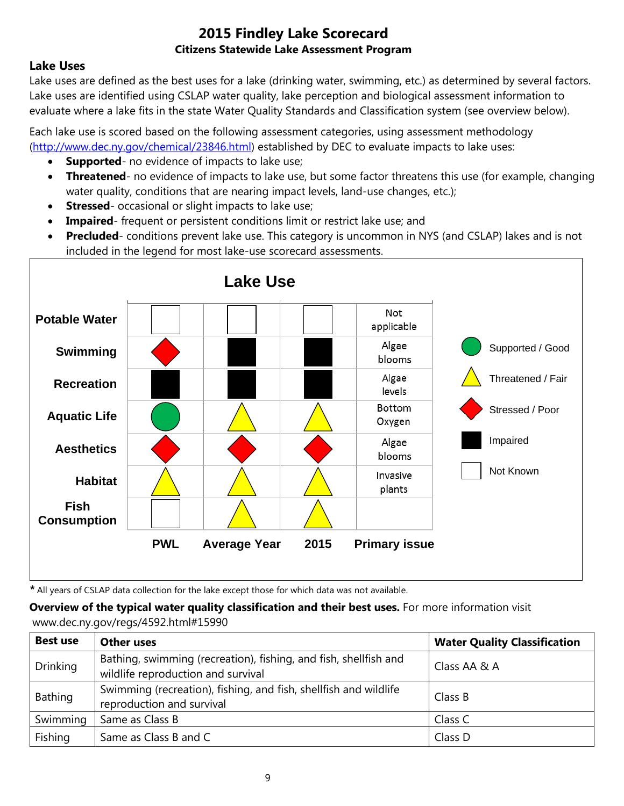## **Lake Uses**

Lake uses are defined as the best uses for a lake (drinking water, swimming, etc.) as determined by several factors. Lake uses are identified using CSLAP water quality, lake perception and biological assessment information to evaluate where a lake fits in the state Water Quality Standards and Classification system (see overview below).

Each lake use is scored based on the following assessment categories, using assessment methodology [\(http://www.dec.ny.gov/chemical/23846.html\)](http://www.dec.ny.gov/chemical/23846.html) established by DEC to evaluate impacts to lake uses:

- **Supported** no evidence of impacts to lake use;
- **Threatened** no evidence of impacts to lake use, but some factor threatens this use (for example, changing water quality, conditions that are nearing impact levels, land-use changes, etc.);
- **Stressed** occasional or slight impacts to lake use;
- **Impaired** frequent or persistent conditions limit or restrict lake use; and
- **Precluded** conditions prevent lake use. This category is uncommon in NYS (and CSLAP) lakes and is not included in the legend for most lake-use scorecard assessments.



*\** All years of CSLAP data collection for the lake except those for which data was not available.

**Overview of the typical water quality classification and their best uses.** For more information visit www.dec.ny.gov/regs/4592.html#15990

| <b>Best use</b> | <b>Other uses</b>                                                                                      | <b>Water Quality Classification</b> |
|-----------------|--------------------------------------------------------------------------------------------------------|-------------------------------------|
| <b>Drinking</b> | Bathing, swimming (recreation), fishing, and fish, shellfish and<br>wildlife reproduction and survival | Class AA & A                        |
| Bathing         | Swimming (recreation), fishing, and fish, shellfish and wildlife<br>reproduction and survival          | Class B                             |
| Swimming        | Same as Class B                                                                                        | Class C                             |
| Fishing         | Same as Class B and C                                                                                  | Class D                             |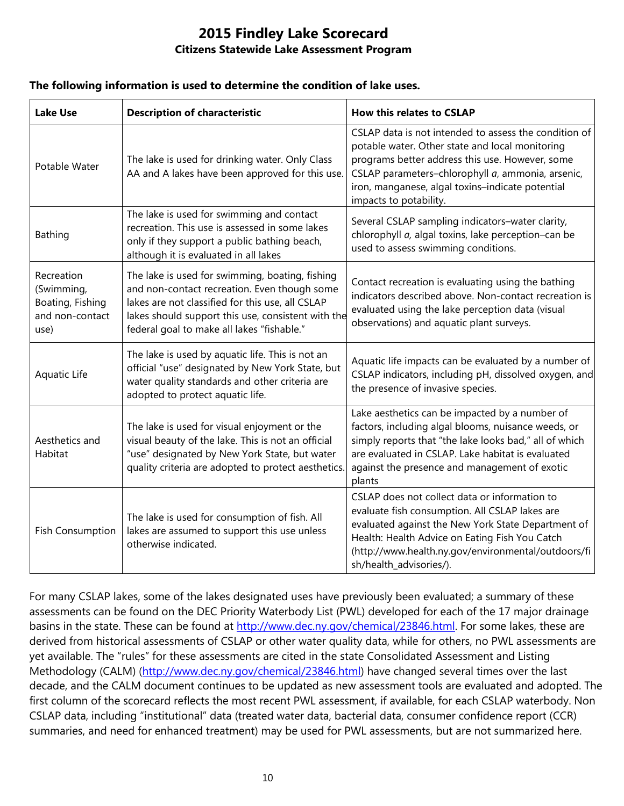#### **The following information is used to determine the condition of lake uses.**

| <b>Lake Use</b>                                                         | <b>Description of characteristic</b>                                                                                                                                                                                                                    | <b>How this relates to CSLAP</b>                                                                                                                                                                                                                                                               |
|-------------------------------------------------------------------------|---------------------------------------------------------------------------------------------------------------------------------------------------------------------------------------------------------------------------------------------------------|------------------------------------------------------------------------------------------------------------------------------------------------------------------------------------------------------------------------------------------------------------------------------------------------|
| Potable Water                                                           | The lake is used for drinking water. Only Class<br>AA and A lakes have been approved for this use.                                                                                                                                                      | CSLAP data is not intended to assess the condition of<br>potable water. Other state and local monitoring<br>programs better address this use. However, some<br>CSLAP parameters-chlorophyll a, ammonia, arsenic,<br>iron, manganese, algal toxins-indicate potential<br>impacts to potability. |
| <b>Bathing</b>                                                          | The lake is used for swimming and contact<br>recreation. This use is assessed in some lakes<br>only if they support a public bathing beach,<br>although it is evaluated in all lakes                                                                    | Several CSLAP sampling indicators-water clarity,<br>chlorophyll a, algal toxins, lake perception-can be<br>used to assess swimming conditions.                                                                                                                                                 |
| Recreation<br>(Swimming,<br>Boating, Fishing<br>and non-contact<br>use) | The lake is used for swimming, boating, fishing<br>and non-contact recreation. Even though some<br>lakes are not classified for this use, all CSLAP<br>lakes should support this use, consistent with the<br>federal goal to make all lakes "fishable." | Contact recreation is evaluating using the bathing<br>indicators described above. Non-contact recreation is<br>evaluated using the lake perception data (visual<br>observations) and aquatic plant surveys.                                                                                    |
| Aquatic Life                                                            | The lake is used by aquatic life. This is not an<br>official "use" designated by New York State, but<br>water quality standards and other criteria are<br>adopted to protect aquatic life.                                                              | Aquatic life impacts can be evaluated by a number of<br>CSLAP indicators, including pH, dissolved oxygen, and<br>the presence of invasive species.                                                                                                                                             |
| Aesthetics and<br>Habitat                                               | The lake is used for visual enjoyment or the<br>visual beauty of the lake. This is not an official<br>"use" designated by New York State, but water<br>quality criteria are adopted to protect aesthetics.                                              | Lake aesthetics can be impacted by a number of<br>factors, including algal blooms, nuisance weeds, or<br>simply reports that "the lake looks bad," all of which<br>are evaluated in CSLAP. Lake habitat is evaluated<br>against the presence and management of exotic<br>plants                |
| <b>Fish Consumption</b>                                                 | The lake is used for consumption of fish. All<br>lakes are assumed to support this use unless<br>otherwise indicated.                                                                                                                                   | CSLAP does not collect data or information to<br>evaluate fish consumption. All CSLAP lakes are<br>evaluated against the New York State Department of<br>Health: Health Advice on Eating Fish You Catch<br>(http://www.health.ny.gov/environmental/outdoors/fi<br>sh/health_advisories/).      |

For many CSLAP lakes, some of the lakes designated uses have previously been evaluated; a summary of these assessments can be found on the DEC Priority Waterbody List (PWL) developed for each of the 17 major drainage basins in the state. These can be found at [http://www.dec.ny.gov/chemical/23846.html.](http://www.dec.ny.gov/chemical/23846.html) For some lakes, these are derived from historical assessments of CSLAP or other water quality data, while for others, no PWL assessments are yet available. The "rules" for these assessments are cited in the state Consolidated Assessment and Listing Methodology (CALM) [\(http://www.dec.ny.gov/chemical/23846.html\)](http://www.dec.ny.gov/chemical/23846.html) have changed several times over the last decade, and the CALM document continues to be updated as new assessment tools are evaluated and adopted. The first column of the scorecard reflects the most recent PWL assessment, if available, for each CSLAP waterbody. Non CSLAP data, including "institutional" data (treated water data, bacterial data, consumer confidence report (CCR) summaries, and need for enhanced treatment) may be used for PWL assessments, but are not summarized here.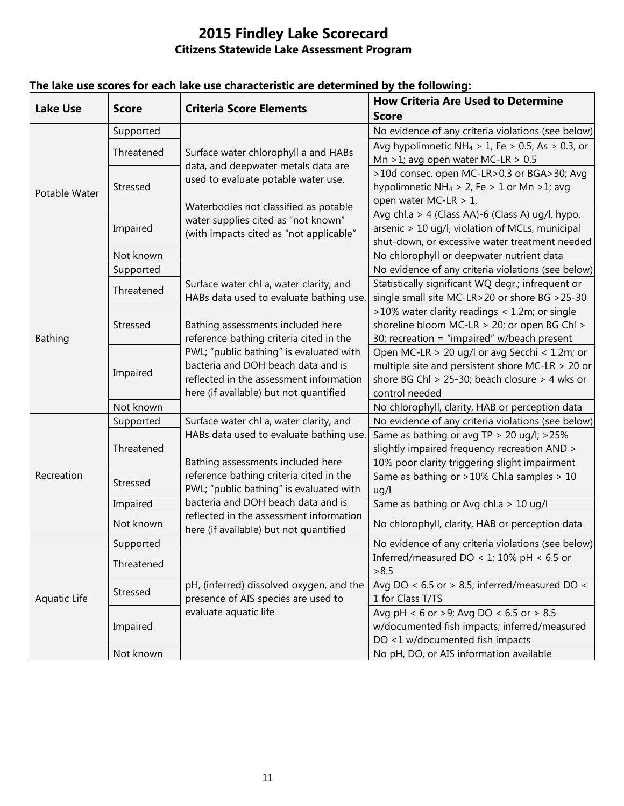| <b>Lake Use</b> | <b>Score</b> | <b>Criteria Score Elements</b>                                                                                     | <b>How Criteria Are Used to Determine</b>                    |
|-----------------|--------------|--------------------------------------------------------------------------------------------------------------------|--------------------------------------------------------------|
|                 |              |                                                                                                                    | <b>Score</b>                                                 |
| Potable Water   | Supported    | Surface water chlorophyll a and HABs<br>data, and deepwater metals data are<br>used to evaluate potable water use. | No evidence of any criteria violations (see below)           |
|                 | Threatened   |                                                                                                                    | Avg hypolimnetic NH <sub>4</sub> > 1, Fe > 0.5, As > 0.3, or |
|                 |              |                                                                                                                    | Mn >1; avg open water MC-LR > $0.5$                          |
|                 | Stressed     |                                                                                                                    | >10d consec. open MC-LR>0.3 or BGA>30; Avg                   |
|                 |              |                                                                                                                    | hypolimnetic NH <sub>4</sub> > 2, Fe > 1 or Mn > 1; avg      |
|                 |              | Waterbodies not classified as potable                                                                              | open water MC-LR > 1,                                        |
|                 | Impaired     | water supplies cited as "not known"<br>(with impacts cited as "not applicable"                                     | Avg chl.a > 4 (Class AA)-6 (Class A) ug/l, hypo.             |
|                 |              |                                                                                                                    | arsenic > 10 ug/l, violation of MCLs, municipal              |
|                 |              |                                                                                                                    | shut-down, or excessive water treatment needed               |
|                 | Not known    |                                                                                                                    | No chlorophyll or deepwater nutrient data                    |
|                 | Supported    |                                                                                                                    | No evidence of any criteria violations (see below)           |
|                 | Threatened   | Surface water chl a, water clarity, and                                                                            | Statistically significant WQ degr.; infrequent or            |
|                 |              | HABs data used to evaluate bathing use.                                                                            | single small site MC-LR>20 or shore BG >25-30                |
|                 | Stressed     |                                                                                                                    | >10% water clarity readings < 1.2m; or single                |
|                 |              | Bathing assessments included here                                                                                  | shoreline bloom MC-LR > 20; or open BG Chl >                 |
| <b>Bathing</b>  |              | reference bathing criteria cited in the                                                                            | 30; recreation = "impaired" w/beach present                  |
|                 | Impaired     | PWL; "public bathing" is evaluated with                                                                            | Open MC-LR > 20 ug/l or avg Secchi < 1.2m; or                |
|                 |              | bacteria and DOH beach data and is                                                                                 | multiple site and persistent shore MC-LR $>$ 20 or           |
|                 |              | reflected in the assessment information                                                                            | shore BG Chl > 25-30; beach closure > 4 wks or               |
|                 |              | here (if available) but not quantified                                                                             | control needed                                               |
|                 | Not known    |                                                                                                                    | No chlorophyll, clarity, HAB or perception data              |
|                 | Supported    | Surface water chl a, water clarity, and                                                                            | No evidence of any criteria violations (see below)           |
|                 | Threatened   | HABs data used to evaluate bathing use.                                                                            | Same as bathing or avg TP > 20 ug/l; >25%                    |
|                 |              |                                                                                                                    | slightly impaired frequency recreation AND >                 |
| Recreation      |              | Bathing assessments included here                                                                                  | 10% poor clarity triggering slight impairment                |
|                 | Stressed     | reference bathing criteria cited in the                                                                            | Same as bathing or >10% Chl.a samples > 10                   |
|                 |              | PWL; "public bathing" is evaluated with                                                                            | uq/l                                                         |
|                 | Impaired     | bacteria and DOH beach data and is                                                                                 | Same as bathing or Avg chl.a > 10 ug/l                       |
|                 | Not known    | reflected in the assessment information<br>here (if available) but not quantified                                  | No chlorophyll, clarity, HAB or perception data              |
| Aquatic Life    | Supported    |                                                                                                                    | No evidence of any criteria violations (see below)           |
|                 | Threatened   |                                                                                                                    | Inferred/measured DO < 1; 10% pH < 6.5 or                    |
|                 |              |                                                                                                                    | > 8.5                                                        |
|                 | Stressed     | pH, (inferred) dissolved oxygen, and the                                                                           | Avg DO < $6.5$ or > 8.5; inferred/measured DO <              |
|                 |              | presence of AIS species are used to                                                                                | 1 for Class T/TS                                             |
|                 | Impaired     | evaluate aquatic life                                                                                              | Avg pH < 6 or >9; Avg DO < 6.5 or > 8.5                      |
|                 |              |                                                                                                                    | w/documented fish impacts; inferred/measured                 |
|                 |              |                                                                                                                    | DO <1 w/documented fish impacts                              |
|                 | Not known    |                                                                                                                    | No pH, DO, or AIS information available                      |

## **The lake use scores for each lake use characteristic are determined by the following:**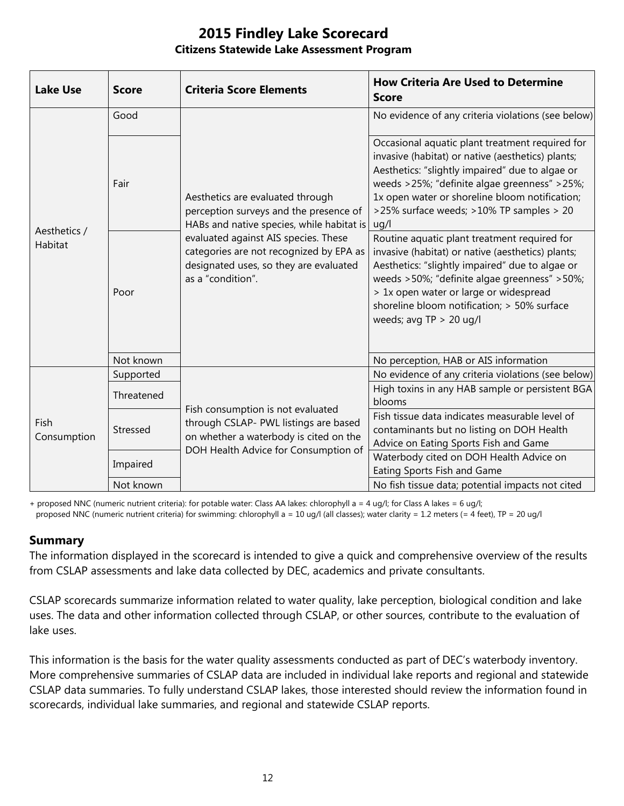| <b>Lake Use</b>         | <b>Score</b> | <b>Criteria Score Elements</b>                                                                                                                                                                                                                                            | <b>How Criteria Are Used to Determine</b><br><b>Score</b>                                                                                                                                                                                                                                                                  |
|-------------------------|--------------|---------------------------------------------------------------------------------------------------------------------------------------------------------------------------------------------------------------------------------------------------------------------------|----------------------------------------------------------------------------------------------------------------------------------------------------------------------------------------------------------------------------------------------------------------------------------------------------------------------------|
| Aesthetics /<br>Habitat | Good         | Aesthetics are evaluated through<br>perception surveys and the presence of<br>HABs and native species, while habitat is<br>evaluated against AIS species. These<br>categories are not recognized by EPA as<br>designated uses, so they are evaluated<br>as a "condition". | No evidence of any criteria violations (see below)                                                                                                                                                                                                                                                                         |
|                         | Fair         |                                                                                                                                                                                                                                                                           | Occasional aquatic plant treatment required for<br>invasive (habitat) or native (aesthetics) plants;<br>Aesthetics: "slightly impaired" due to algae or<br>weeds >25%; "definite algae greenness" >25%;<br>1x open water or shoreline bloom notification;<br>>25% surface weeds; >10% TP samples > 20<br>uq/l              |
|                         | Poor         |                                                                                                                                                                                                                                                                           | Routine aquatic plant treatment required for<br>invasive (habitat) or native (aesthetics) plants;<br>Aesthetics: "slightly impaired" due to algae or<br>weeds >50%; "definite algae greenness" >50%;<br>> 1x open water or large or widespread<br>shoreline bloom notification; > 50% surface<br>weeds; avg $TP > 20$ ug/l |
|                         | Not known    |                                                                                                                                                                                                                                                                           | No perception, HAB or AIS information                                                                                                                                                                                                                                                                                      |
| Fish<br>Consumption     | Supported    | Fish consumption is not evaluated<br>through CSLAP- PWL listings are based<br>on whether a waterbody is cited on the<br>DOH Health Advice for Consumption of                                                                                                              | No evidence of any criteria violations (see below)                                                                                                                                                                                                                                                                         |
|                         | Threatened   |                                                                                                                                                                                                                                                                           | High toxins in any HAB sample or persistent BGA<br>blooms                                                                                                                                                                                                                                                                  |
|                         | Stressed     |                                                                                                                                                                                                                                                                           | Fish tissue data indicates measurable level of<br>contaminants but no listing on DOH Health<br>Advice on Eating Sports Fish and Game                                                                                                                                                                                       |
|                         | Impaired     |                                                                                                                                                                                                                                                                           | Waterbody cited on DOH Health Advice on<br>Eating Sports Fish and Game                                                                                                                                                                                                                                                     |
|                         | Not known    |                                                                                                                                                                                                                                                                           | No fish tissue data; potential impacts not cited                                                                                                                                                                                                                                                                           |

+ proposed NNC (numeric nutrient criteria): for potable water: Class AA lakes: chlorophyll a = 4 ug/l; for Class A lakes = 6 ug/l; proposed NNC (numeric nutrient criteria) for swimming: chlorophyll a = 10 ug/l (all classes); water clarity = 1.2 meters (= 4 feet), TP = 20 ug/l

#### **Summary**

The information displayed in the scorecard is intended to give a quick and comprehensive overview of the results from CSLAP assessments and lake data collected by DEC, academics and private consultants.

CSLAP scorecards summarize information related to water quality, lake perception, biological condition and lake uses. The data and other information collected through CSLAP, or other sources, contribute to the evaluation of lake uses.

This information is the basis for the water quality assessments conducted as part of DEC's waterbody inventory. More comprehensive summaries of CSLAP data are included in individual lake reports and regional and statewide CSLAP data summaries. To fully understand CSLAP lakes, those interested should review the information found in scorecards, individual lake summaries, and regional and statewide CSLAP reports.